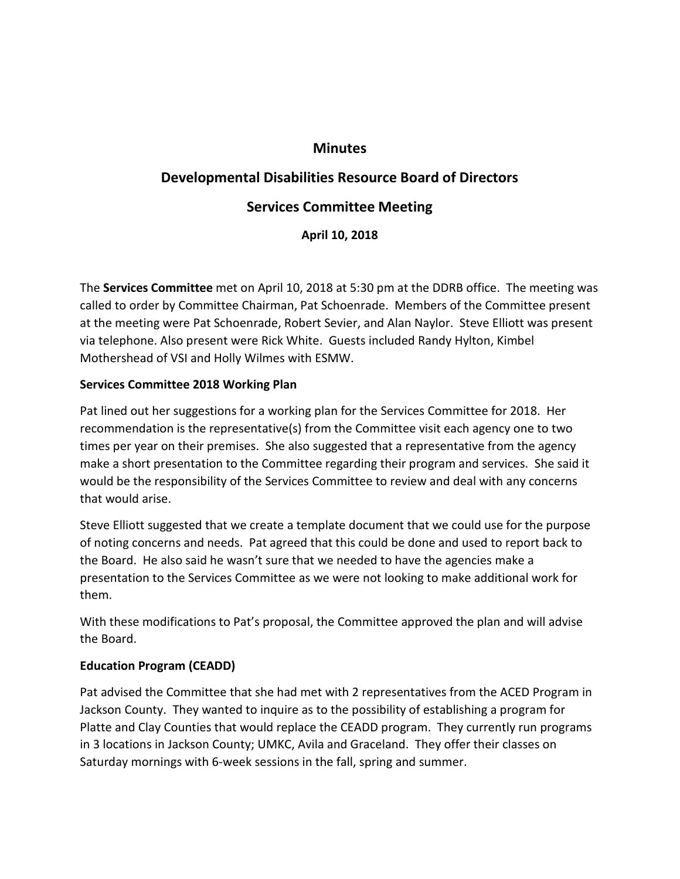# **Minutes**

# **Developmental Disabilities Resource Board of Directors Services Committee Meeting**

**April 10, 2018**

The **Services Committee** met on April 10, 2018 at 5:30 pm at the DDRB office. The meeting was called to order by Committee Chairman, Pat Schoenrade. Members of the Committee present at the meeting were Pat Schoenrade, Robert Sevier, and Alan Naylor. Steve Elliott was present via telephone. Also present were Rick White. Guests included Randy Hylton, Kimbel Mothershead of VSI and Holly Wilmes with ESMW.

## **Services Committee 2018 Working Plan**

Pat lined out her suggestions for a working plan for the Services Committee for 2018. Her recommendation is the representative(s) from the Committee visit each agency one to two times per year on their premises. She also suggested that a representative from the agency make a short presentation to the Committee regarding their program and services. She said it would be the responsibility of the Services Committee to review and deal with any concerns that would arise.

Steve Elliott suggested that we create a template document that we could use for the purpose of noting concerns and needs. Pat agreed that this could be done and used to report back to the Board. He also said he wasn't sure that we needed to have the agencies make a presentation to the Services Committee as we were not looking to make additional work for them.

With these modifications to Pat's proposal, the Committee approved the plan and will advise the Board.

### **Education Program (CEADD)**

Pat advised the Committee that she had met with 2 representatives from the ACED Program in Jackson County. They wanted to inquire as to the possibility of establishing a program for Platte and Clay Counties that would replace the CEADD program. They currently run programs in 3 locations in Jackson County; UMKC, Avila and Graceland. They offer their classes on Saturday mornings with 6-week sessions in the fall, spring and summer.